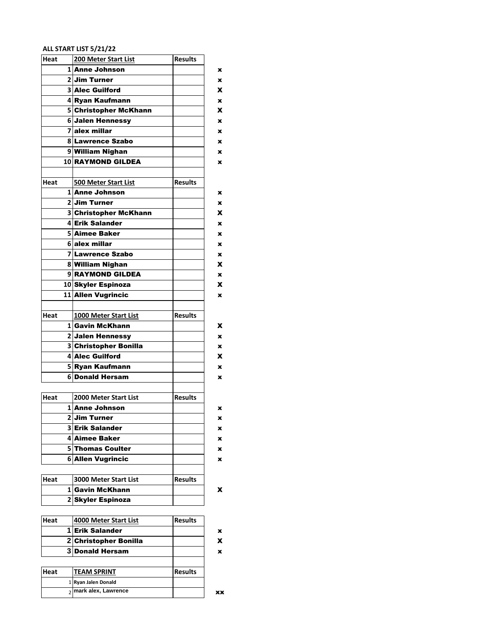#### **ALL START LIST 5/21/22**

| Heat |                | 200 Meter Start List         | <b>Results</b> |
|------|----------------|------------------------------|----------------|
|      |                | <b>1</b> Anne Johnson        |                |
|      |                | 2 Jim Turner                 |                |
|      |                | <b>3 Alec Guilford</b>       |                |
|      |                | 4 Ryan Kaufmann              |                |
|      |                | 5 Christopher McKhann        |                |
|      |                | 6 Jalen Hennessy             |                |
|      | $\overline{7}$ | alex millar                  |                |
|      |                | 8 Lawrence Szabo             |                |
|      |                | 9 William Nighan             |                |
|      |                | <b>10 RAYMOND GILDEA</b>     |                |
|      |                |                              |                |
| Heat |                | <b>500 Meter Start List</b>  | <b>Results</b> |
|      |                | <b>1</b> Anne Johnson        |                |
|      |                | 2 Jim Turner                 |                |
|      |                | 3 Christopher McKhann        |                |
|      |                | 4 Erik Salander              |                |
|      |                | <b>5 Aimee Baker</b>         |                |
|      |                | 6 alex millar                |                |
|      |                | 7 Lawrence Szabo             |                |
|      |                | 8 William Nighan             |                |
|      |                | 9 RAYMOND GILDEA             |                |
|      |                | 10 Skyler Espinoza           |                |
|      |                | 11 Allen Vugrincic           |                |
|      |                |                              |                |
| Heat |                | 1000 Meter Start List        | <b>Results</b> |
|      |                | 1 Gavin McKhann              |                |
|      |                | 2 Jalen Hennessy             |                |
|      |                | 3 Christopher Bonilla        |                |
|      |                | 4 Alec Guilford              |                |
|      |                | 5 Ryan Kaufmann              |                |
|      |                | 6 Donald Hersam              |                |
|      |                |                              |                |
| Heat |                | 2000 Meter Start List        | <b>Results</b> |
|      |                | 1 Anne Johnson               |                |
|      |                | 2 Jim Turner                 |                |
|      |                | <b>3 Erik Salander</b>       |                |
|      |                | 4 Aimee Baker                |                |
|      | 5              | <b>Thomas Coulter</b>        |                |
|      | 6              | <b>Allen Vugrincic</b>       |                |
|      |                |                              |                |
| Heat |                | <b>3000 Meter Start List</b> | <b>Results</b> |
|      |                | 1 Gavin McKhann              |                |
|      |                | 2 Skyler Espinoza            |                |
|      |                |                              |                |
| Heat |                | 4000 Meter Start List        | <b>Results</b> |
|      | 1              | <b>Erik Salander</b>         |                |

|      | 1 Erik Salander         |                |
|------|-------------------------|----------------|
|      | 2 Christopher Bonilla   |                |
|      | <b>3Donald Hersam</b>   |                |
|      |                         |                |
| Heat | <b>TEAM SPRINT</b>      | <b>Results</b> |
|      | 1 Ryan Jalen Donald     |                |
|      | $2$ mark alex, Lawrence |                |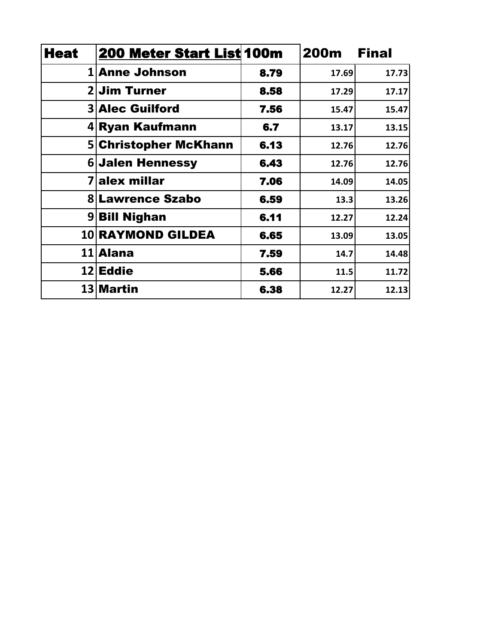| <b>Heat</b> | 200 Meter Start List 100m |      | 200m  | <b>Final</b> |
|-------------|---------------------------|------|-------|--------------|
|             | 1 Anne Johnson            | 8.79 | 17.69 | 17.73        |
|             | 2 Jim Turner              | 8.58 | 17.29 | 17.17        |
|             | <b>3 Alec Guilford</b>    | 7.56 | 15.47 | 15.47        |
|             | 4 Ryan Kaufmann           | 6.7  | 13.17 | 13.15        |
|             | 5 Christopher McKhann     | 6.13 | 12.76 | 12.76        |
|             | <b>6</b> Jalen Hennessy   | 6.43 | 12.76 | 12.76        |
|             | alex millar               | 7.06 | 14.09 | 14.05        |
|             | <b>8 Lawrence Szabo</b>   | 6.59 | 13.3  | 13.26        |
|             | 9 <b>Bill Nighan</b>      | 6.11 | 12.27 | 12.24        |
|             | <b>10 RAYMOND GILDEA</b>  | 6.65 | 13.09 | 13.05        |
|             | 11 Alana                  | 7.59 | 14.7  | 14.48        |
|             | 12 Eddie                  | 5.66 | 11.5  | 11.72        |
|             | 13 Martin                 | 6.38 | 12.27 | 12.13        |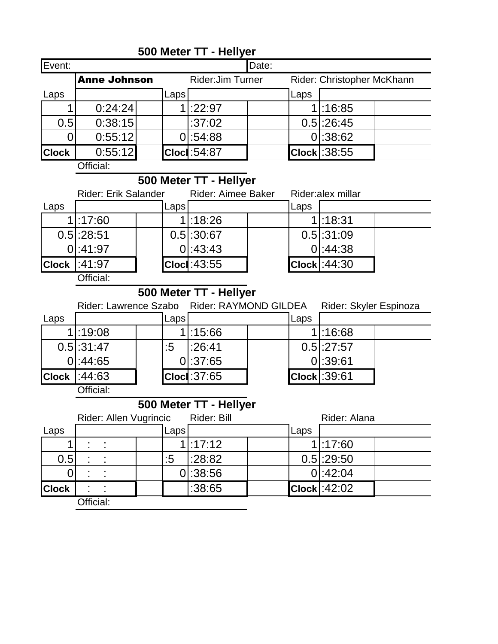|                |      |                         | Date:                                             |      |                            |                                                      |  |  |
|----------------|------|-------------------------|---------------------------------------------------|------|----------------------------|------------------------------------------------------|--|--|
|                |      | <b>Rider:Jim Turner</b> |                                                   |      | Rider: Christopher McKhann |                                                      |  |  |
|                | Laps |                         |                                                   | Laps |                            |                                                      |  |  |
| 0:24:24        |      |                         |                                                   |      |                            |                                                      |  |  |
| 0:38:15<br>0.5 |      |                         |                                                   |      |                            |                                                      |  |  |
| 0:55:12        |      |                         |                                                   |      |                            |                                                      |  |  |
| 0:55:12        |      |                         |                                                   |      |                            |                                                      |  |  |
| Official:      |      |                         |                                                   |      |                            |                                                      |  |  |
|                |      | <b>Anne Johnson</b>     | :22:97<br>:37:02<br>:54:88<br><b>Cloci: 54:87</b> |      |                            | 1:16:85<br>$0.5$ :26:45<br>0 :38:62<br>Clock : 38:55 |  |  |

## **500 Meter TT - Hellyer**

**500 Meter TT - Hellyer**

|      | <b>Rider: Erik Salander</b> |  |       | <b>Rider: Aimee Baker</b> |  | Rider:alex millar |                         |  |
|------|-----------------------------|--|-------|---------------------------|--|-------------------|-------------------------|--|
| Laps |                             |  | Laps' |                           |  | Laps              |                         |  |
|      | $1$ :17:60                  |  |       | 1!:18:26                  |  |                   | 1!:18:31                |  |
|      | $0.5$ :28:51                |  |       | $0.5$ :30:67              |  |                   | $0.5$ :31:09            |  |
|      | 0:41:97                     |  |       | $0$ :43:43                |  |                   | $0$ :44:38              |  |
|      | $ $ Clock $ :41:97$         |  |       | <b>Cloci: 43:55</b>       |  |                   | $\textsf{Clock} :44:30$ |  |

Official:

# **500 Meter TT - Hellyer**

|      | Rider: Lawrence Szabo |      |                         | <b>Rider: RAYMOND GILDEA</b> | Rider: Skyler Espinoza |  |
|------|-----------------------|------|-------------------------|------------------------------|------------------------|--|
| Laps |                       | Laps |                         | Laps                         |                        |  |
|      | 1!:19:08              |      | 1:15:66                 |                              | 1:16:68                |  |
|      | $0.5$ :31:47          | :5   | 1:26:41                 |                              | $0.5$ :27:57           |  |
|      | 0:44:65               |      | 0 :37:65                |                              | 0:39:61                |  |
|      | $Clock$ :44:63        |      | $\textsf{Cloc}$ : 37:65 |                              | Clock : 39:61          |  |

Official:

## **500 Meter TT - Hellyer**

|              |           | Rider: Allen Vugrincic |  |                   | Rider: Bill |  |      | Rider: Alana |  |
|--------------|-----------|------------------------|--|-------------------|-------------|--|------|--------------|--|
| Laps         |           |                        |  | Laps <sup>'</sup> |             |  | Laps |              |  |
|              |           | $\blacksquare$         |  |                   | $1$ :17:12  |  |      | $1$ :17:60   |  |
| 0.5          |           |                        |  | :5                | :28:82      |  |      | $0.5$ :29:50 |  |
|              |           | ÷                      |  |                   | 0:38:56     |  |      | 0:42:04      |  |
| <b>Clock</b> |           |                        |  |                   | :38:65      |  |      | Clock :42:02 |  |
|              | Official: |                        |  |                   |             |  |      |              |  |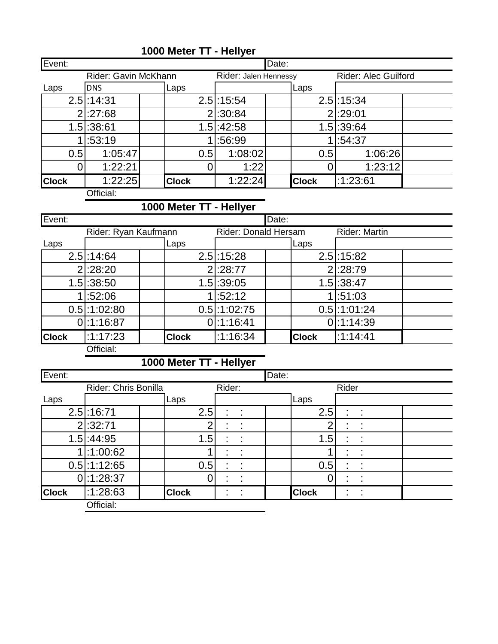| <b>Clock</b> | 1:22:25<br>$\sim \cdots$ |  | <b>Clock</b> | 1:22:24               |       | <b>Clock</b> | :1:23:61                    |  |  |
|--------------|--------------------------|--|--------------|-----------------------|-------|--------------|-----------------------------|--|--|
|              | 1:22:21                  |  |              | 1:22                  |       | U            | 1:23:12                     |  |  |
| 0.5          | 1:05:47                  |  | 0.5          | 1:08:02               |       | 0.5          | 1:06:26                     |  |  |
|              | :53:19                   |  |              | :56:99                |       |              | :54:37                      |  |  |
|              | $1.5$ :38:61             |  |              | $1.5$ :42:58          |       |              | $1.5$ :39:64                |  |  |
|              | $2$ :27:68               |  |              | 2 :30:84              |       |              | 2 :29:01                    |  |  |
|              | $2.5$ :14:31             |  |              | $2.5$ :15:54          |       |              | $2.5$ :15:34                |  |  |
| Laps         | <b>DNS</b>               |  | Laps         |                       |       | Laps         |                             |  |  |
|              | Rider: Gavin McKhann     |  |              | Rider: Jalen Hennessy |       |              | <b>Rider: Alec Guilford</b> |  |  |
| Event:       |                          |  |              |                       | Date: |              |                             |  |  |

## **1000 Meter TT - Hellyer**

Official:

#### **1000 Meter TT - Hellyer**

| Event:       |                        |              |                | Date:                |              |                |  |
|--------------|------------------------|--------------|----------------|----------------------|--------------|----------------|--|
|              | Rider: Ryan Kaufmann   |              |                | Rider: Donald Hersam |              |                |  |
| Laps         |                        | Laps         |                |                      | Laps         |                |  |
|              | $2.5$ :14:64           |              | $2.5$ :15:28   |                      |              | $2.5$ :15:82   |  |
|              | $2$ :28:20             |              | $2$ :28:77     |                      |              | $2$ :28:79     |  |
|              | $1.5$ :38:50           |              | $1.5$ :39:05   |                      |              | $1.5$ :38:47   |  |
|              | 1:52:06                |              | 1:52:12        |                      |              | 1:51:03        |  |
|              | $0.5$ :1:02:80         |              | $0.5$ :1:02:75 |                      |              | $0.5$ :1:01:24 |  |
|              | $0$ :1:16:87           |              | $0$ :1:16:41   |                      |              | $0$ :1:14:39   |  |
| <b>Clock</b> | :1:17:23               | <b>Clock</b> | :1:16:34       |                      | <b>Clock</b> | 1:1:14:41      |  |
|              | $\bigcap H:$ $\bigcup$ |              |                |                      |              |                |  |

Official:

# **1000 Meter TT - Hellyer**

| Event:       |                      |              |                | Date:        |                           |  |
|--------------|----------------------|--------------|----------------|--------------|---------------------------|--|
|              | Rider: Chris Bonilla |              | Rider:         |              | Rider                     |  |
| Laps         |                      | Laps         |                | Laps         |                           |  |
|              | $2.5$ :16:71         | 2.5          | ÷<br>t         | 2.5          | t<br>÷                    |  |
|              | 2 :32:71             |              |                |              | ٠                         |  |
|              | $1.5$ :44:95         | 1.5          |                | 1.5          |                           |  |
|              | :1:00:62             |              | $\blacksquare$ |              | $\bullet$<br>$\cdot$<br>٠ |  |
|              | $0.5$ :1:12:65       | 0.5          | ٠<br>٠         | 0.5          | $\bullet$<br>$\bullet$    |  |
|              | $0$ :1:28:37         |              | ٠              |              | $\bullet$                 |  |
| <b>Clock</b> | :1:28:63             | <b>Clock</b> | ٠              | <b>Clock</b> |                           |  |
|              | Official:            |              |                |              |                           |  |

Official.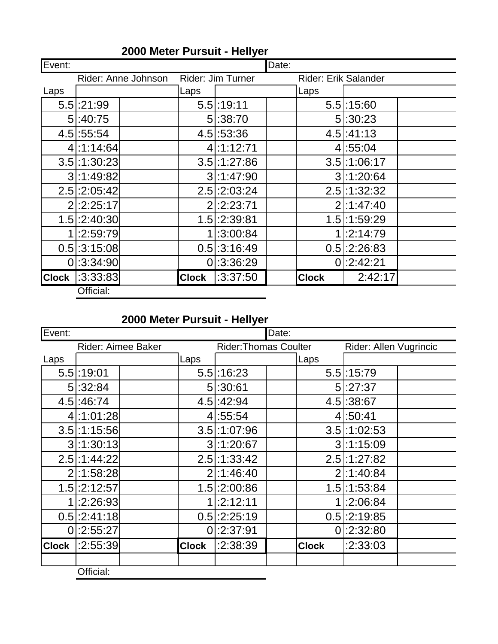| Event:       |                     |              |                   | Date: |                      |                 |  |
|--------------|---------------------|--------------|-------------------|-------|----------------------|-----------------|--|
|              | Rider: Anne Johnson |              | Rider: Jim Turner |       | Rider: Erik Salander |                 |  |
| Laps         |                     | Laps         |                   |       | Laps                 |                 |  |
|              | $5.5$ :21:99        |              | $5.5$ :19:11      |       |                      | $5.5$ :15:60    |  |
|              | 5:40:75             |              | 5:38:70           |       |                      | 5:30:23         |  |
|              | $4.5$ :55:54        |              | $4.5$ :53:36      |       |                      | $4.5$ :41:13    |  |
|              | $4$ :1:14:64        |              | $4$ :1:12:71      |       |                      | 4 :55:04        |  |
|              | $3.5$ :1:30:23      |              | $3.5$ :1:27:86    |       |                      | $3.5$ :1:06:17  |  |
|              | 3:1:49:82           |              | $3$ :1:47:90      |       |                      | $3$ :1:20:64    |  |
|              | $2.5$ :2:05:42      |              | $2.5$ :2:03:24    |       |                      | $2.5$ :1:32:32  |  |
|              | $2$ :2:25:17        |              | $2$ :2:23:71      |       |                      | $2$ :1:47:40    |  |
|              | $1.5$ :2:40:30      |              | $1.5$ :2:39:81    |       |                      | $1.5$ : 1:59:29 |  |
|              | 1:2:59:79           |              | $1$ :3:00:84      |       |                      | 1:2:14:79       |  |
|              | $0.5$ :3:15:08      |              | $0.5$ : 3:16:49   |       |                      | $0.5$ :2:26:83  |  |
| 0            | :3:34:90            |              | 0 :3:36:29        |       |                      | $0$ :2:42:21    |  |
| <b>Clock</b> | :3:33:83            | <b>Clock</b> | :3:37:50          |       | <b>Clock</b>         | 2:42:17         |  |
|              | Official:           |              |                   |       |                      |                 |  |

#### **2000 Meter Pursuit - Hellyer**

**2000 Meter Pursuit - Hellyer**

| Event:       |                           |              |                | Date:                                                  |              |                |  |
|--------------|---------------------------|--------------|----------------|--------------------------------------------------------|--------------|----------------|--|
|              | <b>Rider: Aimee Baker</b> |              |                | <b>Rider: Thomas Coulter</b><br>Rider: Allen Vugrincic |              |                |  |
| Laps         |                           | Laps         |                |                                                        | Laps         |                |  |
|              | $5.5$ :19:01              |              | $5.5$ :16:23   |                                                        |              | $5.5$ :15:79   |  |
|              | 5:32:84                   |              | 5:30:61        |                                                        |              | 5 :27:37       |  |
|              | 4.5 :46:74                |              | 4.5.42.94      |                                                        |              | 4.5 : 38:67    |  |
|              | 4:1:01:28                 |              | 4 :55:54       |                                                        |              | 4 :50:41       |  |
|              | $3.5$ :1:15:56            |              | $3.5$ :1:07:96 |                                                        |              | $3.5$ :1:02:53 |  |
|              | $3$ :1:30:13              |              | 3:1:20:67      |                                                        |              | $3$ :1:15:09   |  |
|              | 2.5 : 1:44:22             |              | $2.5$ :1:33:42 |                                                        |              | $2.5$ :1:27:82 |  |
|              | 2:1:58:28                 |              | $2$ :1:46:40   |                                                        |              | $2$ :1:40:84   |  |
|              | $1.5$ :2:12:57            |              | $1.5$ :2:00:86 |                                                        |              | $1.5$ :1:53:84 |  |
|              | 1:2:26:93                 | 1            | :2:12:11       |                                                        | 1            | :2:06:84       |  |
|              | $0.5$ :2:41:18            |              | $0.5$ :2:25:19 |                                                        |              | $0.5$ :2:19:85 |  |
| 0            | :2:55:27                  | 0            | :2:37:91       |                                                        |              | $0$ :2:32:80   |  |
| <b>Clock</b> | :2:55:39                  | <b>Clock</b> | :2:38:39       |                                                        | <b>Clock</b> | :2:33:03       |  |
|              | Official:                 |              |                |                                                        |              |                |  |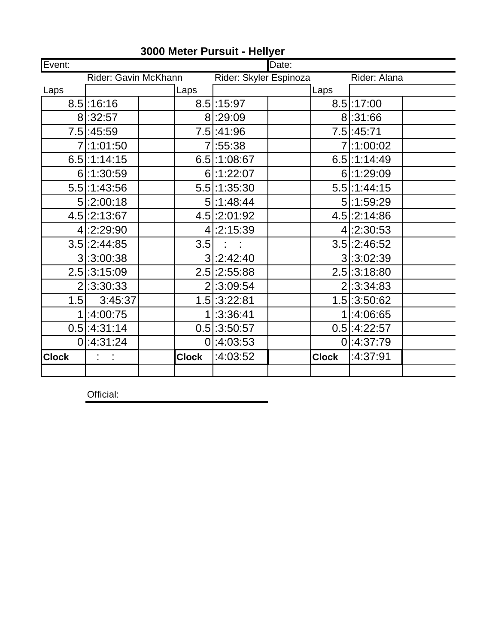| Event:       |                      |  |              | Date:                  |  |              |                |  |
|--------------|----------------------|--|--------------|------------------------|--|--------------|----------------|--|
|              | Rider: Gavin McKhann |  |              | Rider: Skyler Espinoza |  |              | Rider: Alana   |  |
| Laps         |                      |  | Laps         |                        |  | Laps         |                |  |
|              | $8.5$ :16:16         |  |              | $8.5$ :15:97           |  |              | $8.5$ :17:00   |  |
|              | 8:32:57              |  |              | 8 :29:09               |  |              | 8:31:66        |  |
|              | 7.5 :45:59           |  |              | 7.5 :41:96             |  |              | 7.5 : 45:71    |  |
|              | 7:1:01:50            |  |              | 7 :55:38               |  |              | 7:1:00:02      |  |
|              | $6.5$ :1:14:15       |  |              | $6.5$ :1:08:67         |  |              | $6.5$ :1:14:49 |  |
|              | $6$ :1:30:59         |  |              | $6$ :1:22:07           |  |              | $6$ :1:29:09   |  |
|              | $5.5$ :1:43:56       |  |              | $5.5$ :1:35:30         |  |              | $5.5$ :1:44:15 |  |
|              | $5$ :2:00:18         |  |              | $5$ :1:48:44           |  |              | 5:1:59:29      |  |
|              | $4.5$ :2:13:67       |  |              | 4.5 : 2:01:92          |  |              | $4.5$ :2:14:86 |  |
|              | 4:2:29:90            |  |              | $4$ :2:15:39           |  |              | $4$ :2:30:53   |  |
|              | $3.5$ :2:44:85       |  | 3.5          | $\frac{1}{2}$          |  |              | $3.5$ :2:46:52 |  |
|              | 3 :3:00:38           |  |              | $3$ :2:42:40           |  |              | 3:3:02:39      |  |
|              | $2.5$ :3:15:09       |  |              | $2.5$ :2:55:88         |  |              | $2.5$ :3:18:80 |  |
|              | $2$ :3:30:33         |  |              | $2$ :3:09:54           |  |              | $2$ :3:34:83   |  |
| 1.5          | 3:45:37              |  |              | $1.5$ :3:22:81         |  |              | $1.5$ :3:50:62 |  |
|              | :4:00:75             |  |              | 1:3:36:41              |  |              | 1:4:06:65      |  |
|              | $0.5$ :4:31:14       |  |              | $0.5$ :3:50:57         |  |              | $0.5$ :4:22:57 |  |
|              | $0$ :4:31:24         |  |              | 0 :4:03:53             |  |              | $0$ :4:37:79   |  |
| <b>Clock</b> | $1 - 1$              |  | <b>Clock</b> | :4:03:52               |  | <b>Clock</b> | :4:37:91       |  |
|              |                      |  |              |                        |  |              |                |  |

#### **3000 Meter Pursuit - Hellyer**

Official: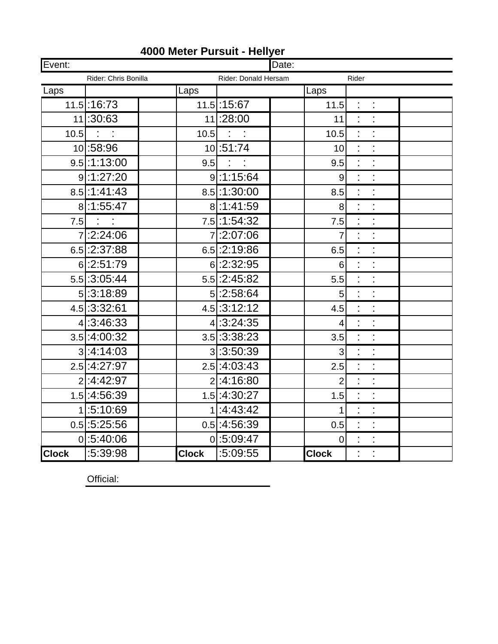| Event:       |                       |              | Date:                         |                 |                                              |  |
|--------------|-----------------------|--------------|-------------------------------|-----------------|----------------------------------------------|--|
|              | Rider: Chris Bonilla  |              | Rider: Donald Hersam<br>Rider |                 |                                              |  |
| Laps         |                       | Laps         |                               | Laps            |                                              |  |
|              | $11.5$ :16:73         |              | 11.5 : 15:67                  | 11.5            |                                              |  |
|              | 11:30:63              |              | 11:28:00                      | 11              |                                              |  |
|              | $\overline{10.5}$ : : |              | $10.5$ : :                    | 10.5            |                                              |  |
|              | 10:58:96              |              | 10:51:74                      | 10              | ÷.<br>t                                      |  |
|              | $9.5$ :1:13:00        |              | $9.5$ : :                     | 9.5             | $\ddot{\phantom{a}}$<br>$\ddot{\phantom{a}}$ |  |
|              | 9:1:27:20             |              | 9:1:15:64                     | $\overline{9}$  |                                              |  |
|              | 8.5 : 1:41:43         |              | 8.5 :1:30:00                  | 8.5             | $\ddot{\phantom{a}}$<br>t,                   |  |
|              | 8:1:55:47             |              | 8:1:41:59                     | 8 <sup>1</sup>  | ł,<br>t,                                     |  |
|              | $7.5$ : :             |              | 7.5 : 1:54:32                 | 7.5             |                                              |  |
|              | 7:2:24:06             |              | 7:2:07:06                     | $\overline{7}$  | t<br>t                                       |  |
|              | $6.5$ : 2:37:88       |              | $6.5$ : 2:19:86               | 6.5             | ċ<br>ł,                                      |  |
|              | 6:2:51:79             |              | 6:2:32:95                     | 6 <sup>1</sup>  |                                              |  |
|              | $5.5$ :3:05:44        |              | $5.5$ :2:45:82                | 5.5             | t<br>t                                       |  |
|              | $5$ :3:18:89          |              | $5$ :2:58:64                  | 5 <sup>1</sup>  | ċ<br>ł,                                      |  |
|              | $4.5$ :3:32:61        |              | $4.5$ : 3:12:12               | 4.5             | ċ                                            |  |
|              | $4$ :3:46:33          |              | 4 : 3:24:35                   | $\vert 4 \vert$ | ċ<br>t                                       |  |
|              | $3.5$ :4:00:32        |              | $3.5$ :3:38:23                | 3.5             | ÷,<br>$\ddot{\phantom{0}}$                   |  |
|              | $3$ :4:14:03          |              | 3:3:50:39                     | 3               | t                                            |  |
|              | 2.5 :4:27:97          |              | $2.5$ :4:03:43                | 2.5             | t<br>ł,                                      |  |
|              | 2:4:42:97             |              | $2$ :4:16:80                  | $\overline{2}$  | t,<br>$\ddot{\phantom{0}}$                   |  |
|              | 1.5 :4:56:39          |              | 1.5 :4:30:27                  | 1.5             |                                              |  |
|              | 1:5:10:69             |              | 1:4:43:42                     | 1               | Ì<br>t                                       |  |
|              | $0.5$ :5:25:56        |              | $0.5$ :4:56:39                | 0.5             | $\ddot{\phantom{0}}$<br>ł,                   |  |
|              | 0 :5:40:06            |              | 0 :5:09:47                    | $\overline{0}$  | ċ                                            |  |
| <b>Clock</b> | :5:39:98              | <b>Clock</b> | :5:09:55                      | <b>Clock</b>    | t                                            |  |

#### **4000 Meter Pursuit - Hellyer**

Official: